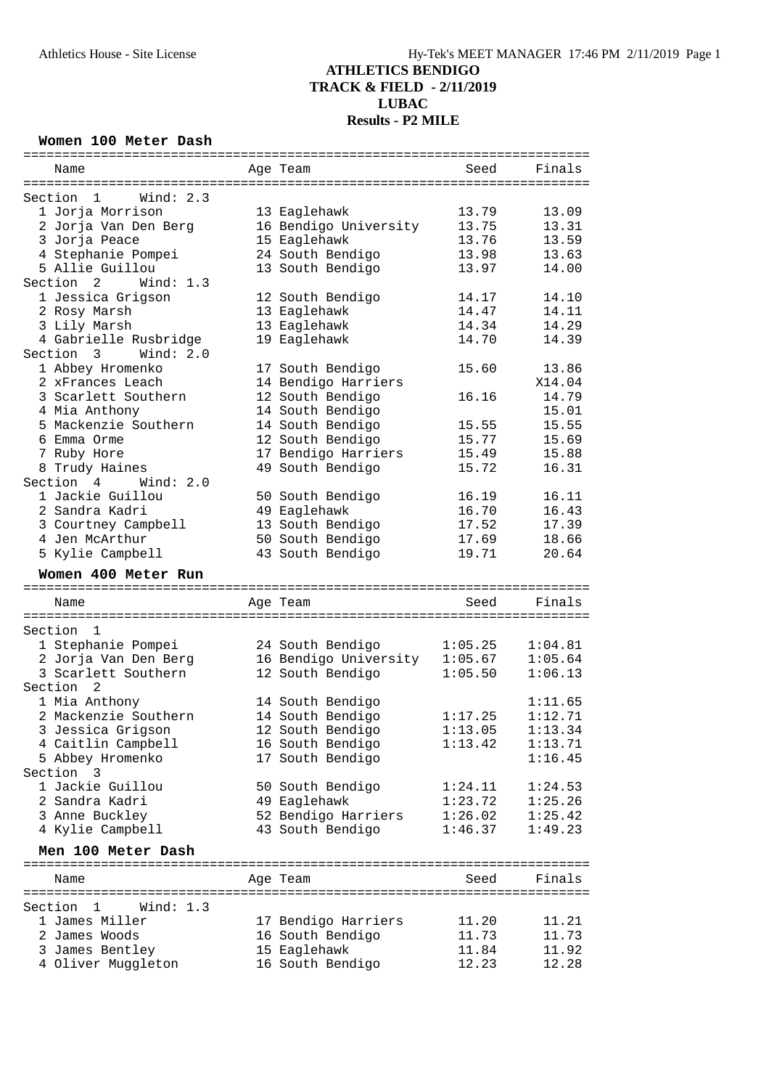#### **Women 100 Meter Dash**

|                     | Name                                   |  | Age Team                         | Seed           | Finals         |  |  |  |
|---------------------|----------------------------------------|--|----------------------------------|----------------|----------------|--|--|--|
|                     |                                        |  |                                  |                |                |  |  |  |
|                     | Section<br>$\overline{1}$<br>Wind: 2.3 |  |                                  |                |                |  |  |  |
|                     | 1 Jorja Morrison                       |  | 13 Eaglehawk                     | 13.79          | 13.09          |  |  |  |
|                     | 2 Jorja Van Den Berg                   |  | 16 Bendigo University            | 13.75          | 13.31          |  |  |  |
|                     | 3 Jorja Peace                          |  | 15 Eaglehawk                     | 13.76          | 13.59          |  |  |  |
|                     | 4 Stephanie Pompei                     |  | 24 South Bendigo                 | 13.98          | 13.63          |  |  |  |
|                     | 5 Allie Guillou                        |  |                                  |                |                |  |  |  |
|                     |                                        |  | 13 South Bendigo                 | 13.97          | 14.00          |  |  |  |
|                     | Section 2<br>Wind: 1.3                 |  |                                  |                |                |  |  |  |
|                     | 1 Jessica Grigson                      |  | 12 South Bendigo                 | 14.17          | 14.10          |  |  |  |
|                     | 2 Rosy Marsh                           |  | 13 Eaglehawk                     | 14.47          | 14.11          |  |  |  |
|                     | 3 Lily Marsh                           |  | 13 Eaglehawk                     | 14.34          | 14.29          |  |  |  |
|                     | 4 Gabrielle Rusbridge                  |  | 19 Eaglehawk                     | 14.70          | 14.39          |  |  |  |
|                     | Section 3<br>Wind: $2.0$               |  |                                  |                |                |  |  |  |
|                     | 1 Abbey Hromenko                       |  | 17 South Bendigo                 | 15.60          | 13.86          |  |  |  |
|                     | 2 xFrances Leach                       |  | 14 Bendigo Harriers              |                | X14.04         |  |  |  |
|                     | 3 Scarlett Southern                    |  | 12 South Bendigo                 | 16.16          | 14.79          |  |  |  |
|                     | 4 Mia Anthony                          |  | 14 South Bendigo                 |                | 15.01          |  |  |  |
|                     | 5 Mackenzie Southern                   |  | 14 South Bendigo                 | 15.55          | 15.55          |  |  |  |
|                     | 6 Emma Orme                            |  | 12 South Bendigo                 | 15.77          | 15.69          |  |  |  |
|                     | 7 Ruby Hore                            |  | 17 Bendigo Harriers              | 15.49          | 15.88          |  |  |  |
|                     |                                        |  |                                  |                |                |  |  |  |
|                     | 8 Trudy Haines                         |  | 49 South Bendigo                 | 15.72          | 16.31          |  |  |  |
|                     | Section 4<br>Wind: $2.0$               |  |                                  |                |                |  |  |  |
|                     | 1 Jackie Guillou                       |  | 50 South Bendigo                 | 16.19          | 16.11          |  |  |  |
|                     | 2 Sandra Kadri                         |  | 49 Eaglehawk                     | 16.70          | 16.43          |  |  |  |
|                     | 3 Courtney Campbell                    |  | 13 South Bendigo                 | 17.52          | 17.39          |  |  |  |
|                     | 4 Jen McArthur                         |  | 50 South Bendigo                 | 17.69          | 18.66          |  |  |  |
|                     | 5 Kylie Campbell                       |  | 43 South Bendigo                 | 19.71          | 20.64          |  |  |  |
| Women 400 Meter Run |                                        |  |                                  |                |                |  |  |  |
|                     |                                        |  |                                  |                |                |  |  |  |
|                     |                                        |  |                                  |                |                |  |  |  |
|                     | Name                                   |  | Age Team                         | Seed           | Finals         |  |  |  |
|                     |                                        |  |                                  |                |                |  |  |  |
|                     | Section<br>1                           |  |                                  |                |                |  |  |  |
|                     | 1 Stephanie Pompei                     |  | 24 South Bendigo                 | 1:05.25        | 1:04.81        |  |  |  |
|                     | 2 Jorja Van Den Berg                   |  | 16 Bendigo University 1:05.67    |                | 1:05.64        |  |  |  |
|                     | 3 Scarlett Southern                    |  | 12 South Bendigo                 | 1:05.50        | 1:06.13        |  |  |  |
|                     | Section<br>2                           |  |                                  |                |                |  |  |  |
|                     | 1 Mia Anthony                          |  | 14 South Bendigo                 |                | 1:11.65        |  |  |  |
|                     | 2 Mackenzie Southern                   |  |                                  | 1:17.25        | 1:12.71        |  |  |  |
|                     |                                        |  | 14 South Bendigo                 |                |                |  |  |  |
|                     | 3 Jessica Grigson                      |  | 12 South Bendigo                 | 1:13.05        | 1:13.34        |  |  |  |
|                     | 4 Caitlin Campbell                     |  | 16 South Bendigo                 | 1:13.42        | 1:13.71        |  |  |  |
|                     | 5 Abbey Hromenko                       |  | 17 South Bendigo                 |                | 1:16.45        |  |  |  |
|                     | Section 3                              |  |                                  |                |                |  |  |  |
|                     | 1 Jackie Guillou                       |  | 50 South Bendigo                 | 1:24.11        | 1:24.53        |  |  |  |
|                     | 2 Sandra Kadri                         |  | 49 Eaglehawk                     | 1:23.72        | 1:25.26        |  |  |  |
|                     | 3 Anne Buckley                         |  | 52 Bendigo Harriers              | 1:26.02        | 1:25.42        |  |  |  |
|                     | 4 Kylie Campbell                       |  | 43 South Bendigo                 | 1:46.37        | 1:49.23        |  |  |  |
|                     | Men 100 Meter Dash                     |  |                                  |                |                |  |  |  |
|                     |                                        |  |                                  |                |                |  |  |  |
|                     | Name                                   |  | Age Team                         | Seed           | Finals         |  |  |  |
|                     |                                        |  |                                  |                |                |  |  |  |
|                     | Wind: $1.3$<br>Section 1               |  |                                  |                |                |  |  |  |
|                     | 1 James Miller                         |  | 17 Bendigo Harriers              | 11.20          | 11.21          |  |  |  |
|                     | 2 James Woods                          |  | 16 South Bendigo                 | 11.73          | 11.73          |  |  |  |
|                     | 3 James Bentley<br>4 Oliver Muggleton  |  | 15 Eaglehawk<br>16 South Bendigo | 11.84<br>12.23 | 11.92<br>12.28 |  |  |  |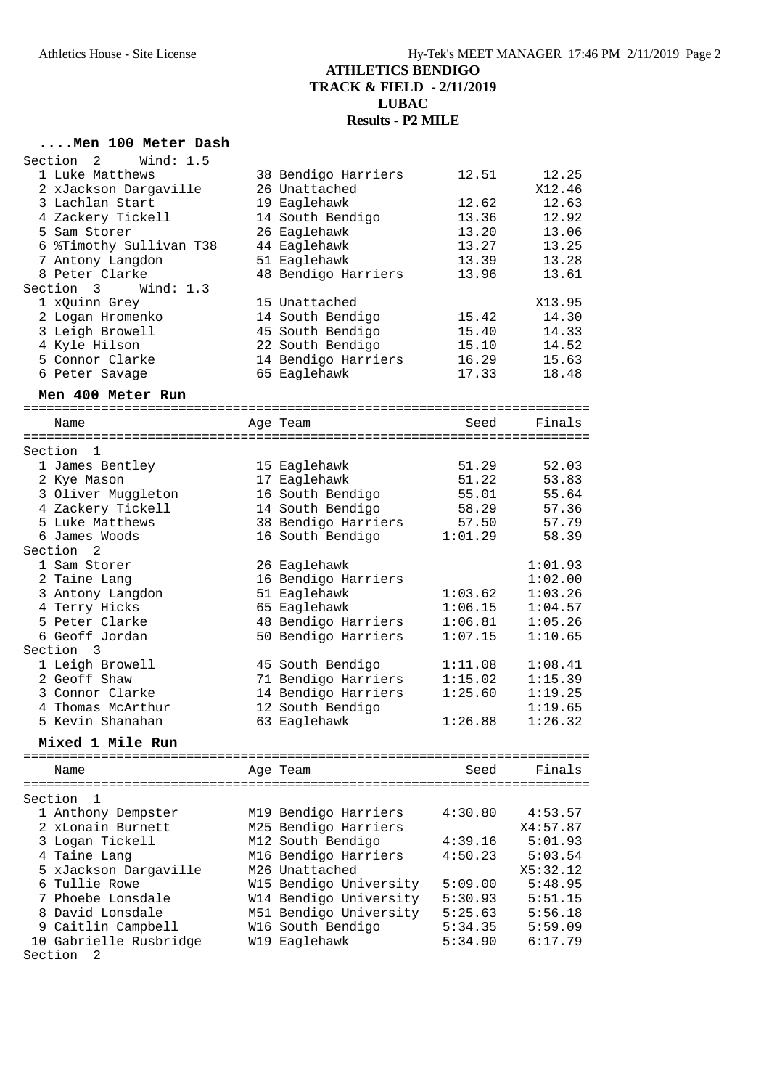#### **....Men 100 Meter Dash**

| Section<br>Wind: $1.5$<br>2    |                                              |                 |          |
|--------------------------------|----------------------------------------------|-----------------|----------|
| 1 Luke Matthews                | 38 Bendigo Harriers                          | 12.51           | 12.25    |
| 2 xJackson Dargaville          | 26 Unattached                                |                 | X12.46   |
| 3 Lachlan Start                | 19 Eaglehawk                                 | 12.62           | 12.63    |
| 4 Zackery Tickell              | 14 South Bendigo                             | 13.36           | 12.92    |
| 5 Sam Storer                   | 26 Eaglehawk                                 | 13.20           | 13.06    |
| 6 %Timothy Sullivan T38        | 44 Eaglehawk                                 | 13.27           | 13.25    |
| 7 Antony Langdon               | 51 Eaglehawk                                 | 13.39           | 13.28    |
| 8 Peter Clarke                 | 48 Bendigo Harriers                          | 13.96           | 13.61    |
| Section 3<br>Wind: $1.3$       |                                              |                 |          |
| 1 xQuinn Grey                  | 15 Unattached                                |                 | X13.95   |
| 2 Logan Hromenko               | 14 South Bendigo                             | 15.42           | 14.30    |
| 3 Leigh Browell                | 45 South Bendigo                             | 15.40           | 14.33    |
| 4 Kyle Hilson                  | 22 South Bendigo                             | 15.10           | 14.52    |
| 5 Connor Clarke                | 14 Bendigo Harriers                          | 16.29           | 15.63    |
| 6 Peter Savage                 | 65 Eaglehawk                                 | 17.33           | 18.48    |
|                                |                                              |                 |          |
| Men 400 Meter Run              |                                              |                 |          |
|                                |                                              |                 |          |
| Name                           | Age Team                                     | Seed            | Finals   |
| Section<br>1                   |                                              |                 |          |
| 1 James Bentley                | 15 Eaglehawk                                 | 51.29           | 52.03    |
| 2 Kye Mason                    | 17 Eaglehawk                                 | 51.22           | 53.83    |
| 3 Oliver Muggleton             | 16 South Bendigo                             | 55.01           | 55.64    |
| 4 Zackery Tickell              | 14 South Bendigo                             | 58.29           | 57.36    |
| 5 Luke Matthews                | 38 Bendigo Harriers                          | 57.50           | 57.79    |
| 6 James Woods                  | 16 South Bendigo                             | 1:01.29         | 58.39    |
| Section<br>$\mathfrak{D}$      |                                              |                 |          |
| 1 Sam Storer                   | 26 Eaglehawk                                 |                 | 1:01.93  |
| 2 Taine Lang                   | 16 Bendigo Harriers                          |                 |          |
|                                |                                              | 1:03.62         | 1:02.00  |
| 3 Antony Langdon               | 51 Eaglehawk                                 |                 | 1:03.26  |
| 4 Terry Hicks                  | 65 Eaglehawk                                 | 1:06.15         | 1:04.57  |
| 5 Peter Clarke                 | 48 Bendigo Harriers                          | 1:06.81         | 1:05.26  |
| 6 Geoff Jordan<br>Section<br>3 | 50 Bendigo Harriers                          | 1:07.15         | 1:10.65  |
|                                |                                              |                 |          |
| 1 Leigh Browell                | 45 South Bendigo                             | 1:11.08         | 1:08.41  |
| 2 Geoff Shaw                   | 71 Bendigo Harriers                          | 1:15.02         | 1:15.39  |
| 3 Connor Clarke                | 14 Bendigo Harriers                          | 1:25.60         | 1:19.25  |
| 4 Thomas McArthur              | 12 South Bendigo                             |                 | 1:19.65  |
| 5 Kevin Shanahan               | 63 Eaglehawk                                 | 1:26.88         | 1:26.32  |
| Mixed 1 Mile Run               |                                              |                 |          |
|                                |                                              | =============== |          |
| Name                           | Age Team                                     | Seed            | Finals   |
| Section<br>1                   |                                              |                 |          |
| 1 Anthony Dempster             |                                              | 4:30.80         | 4:53.57  |
| 2 xLonain Burnett              | M19 Bendigo Harriers<br>M25 Bendigo Harriers |                 |          |
|                                |                                              |                 | X4:57.87 |
| 3 Logan Tickell                | M12 South Bendigo                            | 4:39.16         | 5:01.93  |
| 4 Taine Lang                   | M16 Bendigo Harriers                         | 4:50.23         | 5:03.54  |
| 5 xJackson Dargaville          | M26 Unattached                               |                 | X5:32.12 |
| 6 Tullie Rowe                  | W15 Bendigo University                       | 5:09.00         | 5:48.95  |
| 7 Phoebe Lonsdale              | W14 Bendigo University                       | 5:30.93         | 5:51.15  |
| 8 David Lonsdale               | M51 Bendigo University                       | 5:25.63         | 5:56.18  |
| 9 Caitlin Campbell             | W16 South Bendigo                            | 5:34.35         | 5:59.09  |
| 10 Gabrielle Rusbridge         | W19 Eaglehawk                                | 5:34.90         | 6:17.79  |
| Section<br>2                   |                                              |                 |          |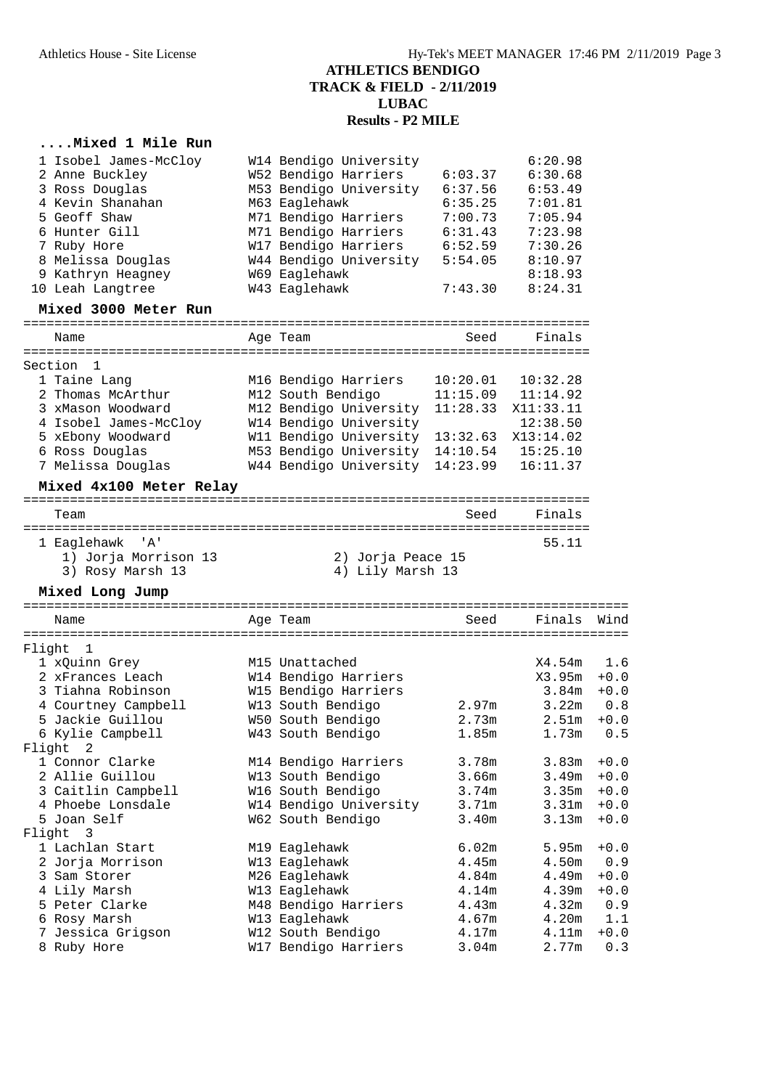#### **....Mixed 1 Mile Run**

| 1 Isobel James-McCloy             | W14 Bendigo University          |                   | 6:20.98                                     |        |
|-----------------------------------|---------------------------------|-------------------|---------------------------------------------|--------|
| 2 Anne Buckley                    | W52 Bendigo Harriers            | 6:03.37           | 6:30.68                                     |        |
| 3 Ross Douglas                    | M53 Bendigo University          | 6:37.56           | 6:53.49                                     |        |
| 4 Kevin Shanahan                  | M63 Eaglehawk                   | 6:35.25           | 7:01.81                                     |        |
| 5 Geoff Shaw                      | M71 Bendigo Harriers            | 7:00.73           | 7:05.94                                     |        |
| 6 Hunter Gill                     | M71 Bendigo Harriers            | 6:31.43           | 7:23.98                                     |        |
| 7 Ruby Hore                       | W17 Bendigo Harriers            | 6:52.59           | 7:30.26                                     |        |
| 8 Melissa Douglas                 | W44 Bendigo University          | 5:54.05           | 8:10.97                                     |        |
| 9 Kathryn Heagney                 | W69 Eaglehawk                   |                   | 8:18.93                                     |        |
| 10 Leah Langtree                  | W43 Eaglehawk                   | 7:43.30           | 8:24.31                                     |        |
| Mixed 3000 Meter Run              |                                 |                   |                                             |        |
| Name                              | Age Team                        | Seed              | Finals                                      |        |
| Section<br>1                      |                                 |                   |                                             |        |
| 1 Taine Lang                      | M16 Bendigo Harriers            | 10:20.01          | 10:32.28                                    |        |
| 2 Thomas McArthur                 | M12 South Bendigo               | 11:15.09          | 11:14.92                                    |        |
| 3 xMason Woodward                 | M12 Bendigo University          | 11:28.33          | X11:33.11                                   |        |
| 4 Isobel James-McCloy             | W14 Bendigo University          |                   | 12:38.50                                    |        |
| 5 xEbony Woodward                 | W11 Bendigo University          | 13:32.63          | X13:14.02                                   |        |
| 6 Ross Douglas                    | M53 Bendigo University 14:10.54 |                   | 15:25.10                                    |        |
| 7 Melissa Douglas                 | W44 Bendigo University          | 14:23.99          | 16:11.37                                    |        |
| Mixed 4x100 Meter Relay           |                                 |                   |                                             |        |
| Team                              |                                 | Seed              | Finals                                      |        |
| 1 Eaglehawk 'A'                   |                                 |                   | ========================<br>55.11           |        |
| 1) Jorja Morrison 13              | 2) Jorja Peace 15               |                   |                                             |        |
| 3) Rosy Marsh 13                  | 4) Lily Marsh 13                |                   |                                             |        |
| Mixed Long Jump                   |                                 |                   |                                             |        |
| Name                              | Age Team                        | Seed              | =================================<br>Finals | Wind   |
|                                   |                                 |                   |                                             |        |
| Flight<br>1                       |                                 |                   |                                             |        |
| 1 xQuinn Grey                     | M15 Unattached                  |                   | X4.54m                                      | 1.6    |
| 2 xFrances Leach                  | W14 Bendigo Harriers            |                   | X3.95m                                      | $+0.0$ |
| 3 Tiahna Robinson                 | W15 Bendigo Harriers            |                   | 3.84m                                       | $+0.0$ |
| 4 Courtney Campbell               | W13 South Bendigo               | 2.97 <sub>m</sub> | 3.22m                                       | 0.8    |
| 5 Jackie Guillou                  | W50 South Bendigo               | 2.73m             | 2.51m                                       | $+0.0$ |
| 6 Kylie Campbell<br>Flight<br>2   | W43 South Bendigo               | 1.85m             | 1.73m                                       | 0.5    |
| 1 Connor Clarke                   | M14 Bendigo Harriers            | 3.78m             | 3.83m                                       | $+0.0$ |
| 2 Allie Guillou                   | W13 South Bendigo               | 3.66m             | 3.49m                                       | $+0.0$ |
| 3 Caitlin Campbell                | W16 South Bendigo               | 3.74m             | 3.35m                                       | $+0.0$ |
| 4 Phoebe Lonsdale                 | W14 Bendigo University          | 3.71m             | 3.31m                                       | $+0.0$ |
| 5 Joan Self                       | W62 South Bendigo               | 3.40m             | 3.13m                                       | $+0.0$ |
| Flight<br>$\overline{\mathbf{3}}$ |                                 |                   |                                             |        |
| 1 Lachlan Start                   | M19 Eaglehawk                   | 6.02m             | 5.95m                                       | $+0.0$ |
| 2 Jorja Morrison                  | W13 Eaglehawk                   | 4.45m             | 4.50m                                       | 0.9    |
| 3 Sam Storer                      | M26 Eaglehawk                   | 4.84m             | 4.49m                                       | $+0.0$ |
| 4 Lily Marsh                      | W13 Eaglehawk                   | 4.14m             | 4.39m                                       | $+0.0$ |
| 5 Peter Clarke                    | M48 Bendigo Harriers            | 4.43m             | 4.32m                                       | 0.9    |
| 6 Rosy Marsh                      | W13 Eaglehawk                   | 4.67m             | 4.20m                                       | 1.1    |
| 7 Jessica Grigson                 | W12 South Bendigo               | 4.17m             | 4.11m                                       | $+0.0$ |
| 8 Ruby Hore                       | W17 Bendigo Harriers            | 3.04m             | 2.77m                                       | 0.3    |
|                                   |                                 |                   |                                             |        |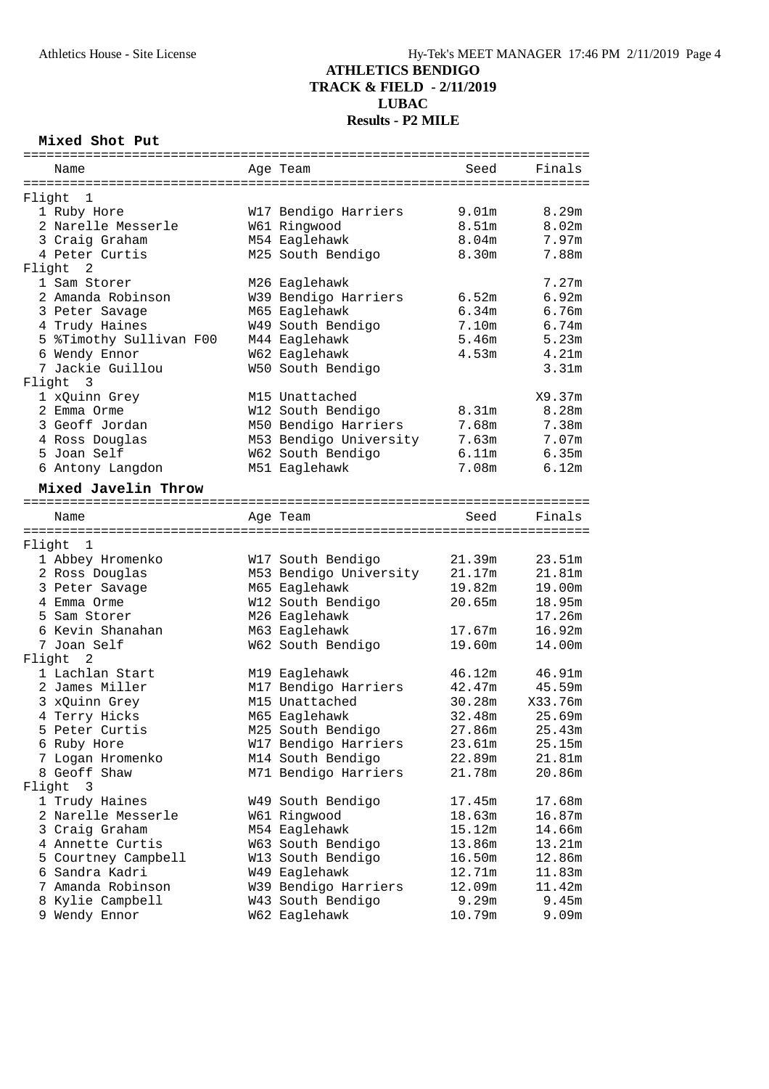#### **Mixed Shot Put**

|        | Name                    |  | Age Team               | Seed              | Finals            |  |  |
|--------|-------------------------|--|------------------------|-------------------|-------------------|--|--|
|        |                         |  |                        |                   |                   |  |  |
|        | Flight 1                |  |                        |                   |                   |  |  |
|        | 1 Ruby Hore             |  | W17 Bendigo Harriers   | 9.01m             | 8.29m             |  |  |
|        | 2 Narelle Messerle      |  | W61 Ringwood           | 8.51m             | 8.02m             |  |  |
|        | 3 Craig Graham          |  | M54 Eaglehawk          | 8.04 <sub>m</sub> | 7.97m             |  |  |
|        | 4 Peter Curtis          |  | M25 South Bendigo      | 8.30m             | 7.88m             |  |  |
| Flight | 2                       |  |                        |                   |                   |  |  |
|        | 1 Sam Storer            |  | M26 Eaglehawk          |                   | 7.27m             |  |  |
|        | 2 Amanda Robinson       |  | W39 Bendigo Harriers   | 6.52m             | 6.92m             |  |  |
|        | 3 Peter Savage          |  | M65 Eaglehawk          | 6.34m             | 6.76m             |  |  |
|        | 4 Trudy Haines          |  | W49 South Bendigo      | 7.10m             | $6.74m$           |  |  |
|        | 5 %Timothy Sullivan F00 |  | M44 Eaglehawk          | 5.46m             | 5.23m             |  |  |
|        | 6 Wendy Ennor           |  | W62 Eaglehawk          | 4.53m             | 4.21m             |  |  |
|        | 7 Jackie Guillou        |  | W50 South Bendigo      |                   | 3.31 <sub>m</sub> |  |  |
|        | Flight 3                |  |                        |                   |                   |  |  |
|        | 1 xQuinn Grey           |  | M15 Unattached         |                   | X9.37m            |  |  |
|        | 2 Emma Orme             |  | W12 South Bendigo      | 8.31m             | 8.28m             |  |  |
|        | 3 Geoff Jordan          |  | M50 Bendigo Harriers   | 7.68m             | 7.38m             |  |  |
|        | 4 Ross Douglas          |  | M53 Bendigo University | 7.63m             | 7.07m             |  |  |
|        | 5 Joan Self             |  | W62 South Bendigo      | 6.11m             | 6.35m             |  |  |
|        | 6 Antony Langdon        |  | M51 Eaglehawk          | 7.08m             | $6.12m$           |  |  |
|        | Mixed Javelin Throw     |  |                        |                   |                   |  |  |
|        |                         |  |                        |                   |                   |  |  |
|        | Name                    |  | Age Team               | Seed              | Finals            |  |  |
|        |                         |  |                        |                   |                   |  |  |
|        | Flight 1                |  |                        |                   |                   |  |  |
|        | 1 Abbey Hromenko        |  | W17 South Bendigo      | 21.39m            | 23.51m            |  |  |
|        | 2 Ross Douglas          |  | M53 Bendigo University | 21.17m            | 21.81m            |  |  |
|        | 3 Peter Savage          |  | M65 Eaglehawk          | 19.82m            | 19.00m            |  |  |
|        | 4 Emma Orme             |  | W12 South Bendigo      | 20.65m            | 18.95m            |  |  |
|        | 5 Sam Storer            |  | M26 Eaglehawk          |                   | 17.26m            |  |  |
|        | 6 Kevin Shanahan        |  | M63 Eaglehawk          | 17.67m            | 16.92m            |  |  |
|        | 7 Joan Self             |  | W62 South Bendigo      | 19.60m            | 14.00m            |  |  |
|        | 2<br>Flight             |  |                        |                   |                   |  |  |
|        | 1 Lachlan Start         |  | M19 Eaglehawk          | 46.12m            | 46.91m            |  |  |
|        | 2 James Miller          |  | M17 Bendigo Harriers   | 42.47m            | 45.59m            |  |  |
|        | 3 xQuinn Grey           |  | M15 Unattached         | 30.28m            | X33.76m           |  |  |
|        | 4 Terry Hicks           |  | M65 Eaglehawk          | 32.48m            | 25.69m            |  |  |
|        | 5 Peter Curtis          |  | M25 South Bendigo      | 27.86m            | 25.43m            |  |  |
|        | 6 Ruby Hore             |  | W17 Bendigo Harriers   | 23.61m            | 25.15m            |  |  |
|        | 7 Logan Hromenko        |  | M14 South Bendigo      | 22.89m            | 21.81m            |  |  |
|        | 8 Geoff Shaw            |  | M71 Bendigo Harriers   | 21.78m            | 20.86m            |  |  |
| Flight | 3                       |  |                        |                   |                   |  |  |
|        | 1 Trudy Haines          |  | W49 South Bendigo      | 17.45m            | 17.68m            |  |  |
|        | 2 Narelle Messerle      |  | W61 Ringwood           | 18.63m            | 16.87m            |  |  |
|        | 3 Craig Graham          |  | M54 Eaglehawk          | 15.12m            | 14.66m            |  |  |
|        | 4 Annette Curtis        |  | W63 South Bendigo      | 13.86m            | 13.21m            |  |  |
|        | 5 Courtney Campbell     |  | W13 South Bendigo      | 16.50m            | 12.86m            |  |  |
|        | 6 Sandra Kadri          |  | W49 Eaglehawk          | 12.71m            | 11.83m            |  |  |
|        | 7 Amanda Robinson       |  | W39 Bendigo Harriers   | 12.09m            | 11.42m            |  |  |
|        | 8 Kylie Campbell        |  | W43 South Bendigo      | 9.29m             | 9.45m             |  |  |
|        | 9 Wendy Ennor           |  | W62 Eaglehawk          | 10.79m            | 9.09m             |  |  |